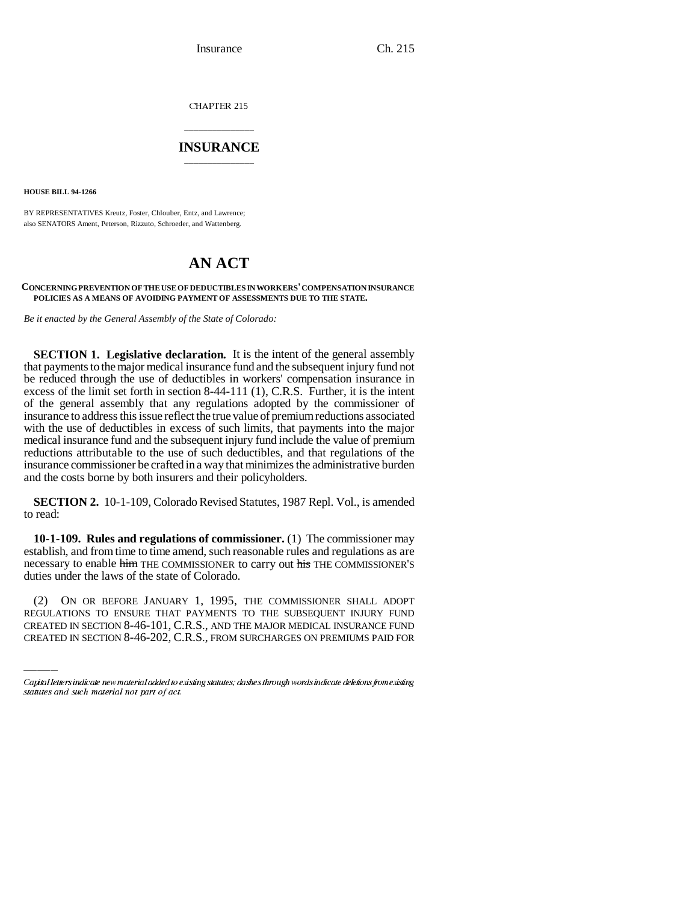Insurance Ch. 215

CHAPTER 215

# \_\_\_\_\_\_\_\_\_\_\_\_\_\_\_ **INSURANCE** \_\_\_\_\_\_\_\_\_\_\_\_\_\_\_

**HOUSE BILL 94-1266**

BY REPRESENTATIVES Kreutz, Foster, Chlouber, Entz, and Lawrence; also SENATORS Ament, Peterson, Rizzuto, Schroeder, and Wattenberg.

# **AN ACT**

### **CONCERNING PREVENTION OF THE USE OF DEDUCTIBLES IN WORKERS' COMPENSATION INSURANCE POLICIES AS A MEANS OF AVOIDING PAYMENT OF ASSESSMENTS DUE TO THE STATE.**

*Be it enacted by the General Assembly of the State of Colorado:*

**SECTION 1. Legislative declaration.** It is the intent of the general assembly that payments to the major medical insurance fund and the subsequent injury fund not be reduced through the use of deductibles in workers' compensation insurance in excess of the limit set forth in section 8-44-111 (1), C.R.S. Further, it is the intent of the general assembly that any regulations adopted by the commissioner of insurance to address this issue reflect the true value of premium reductions associated with the use of deductibles in excess of such limits, that payments into the major medical insurance fund and the subsequent injury fund include the value of premium reductions attributable to the use of such deductibles, and that regulations of the insurance commissioner be crafted in a way that minimizes the administrative burden and the costs borne by both insurers and their policyholders.

**SECTION 2.** 10-1-109, Colorado Revised Statutes, 1987 Repl. Vol., is amended to read:

duties under the laws of the state of Colorado. **10-1-109. Rules and regulations of commissioner.** (1) The commissioner may establish, and from time to time amend, such reasonable rules and regulations as are necessary to enable him THE COMMISSIONER to carry out his THE COMMISSIONER'S

(2) ON OR BEFORE JANUARY 1, 1995, THE COMMISSIONER SHALL ADOPT REGULATIONS TO ENSURE THAT PAYMENTS TO THE SUBSEQUENT INJURY FUND CREATED IN SECTION 8-46-101, C.R.S., AND THE MAJOR MEDICAL INSURANCE FUND CREATED IN SECTION 8-46-202, C.R.S., FROM SURCHARGES ON PREMIUMS PAID FOR

Capital letters indicate new material added to existing statutes; dashes through words indicate deletions from existing statutes and such material not part of act.